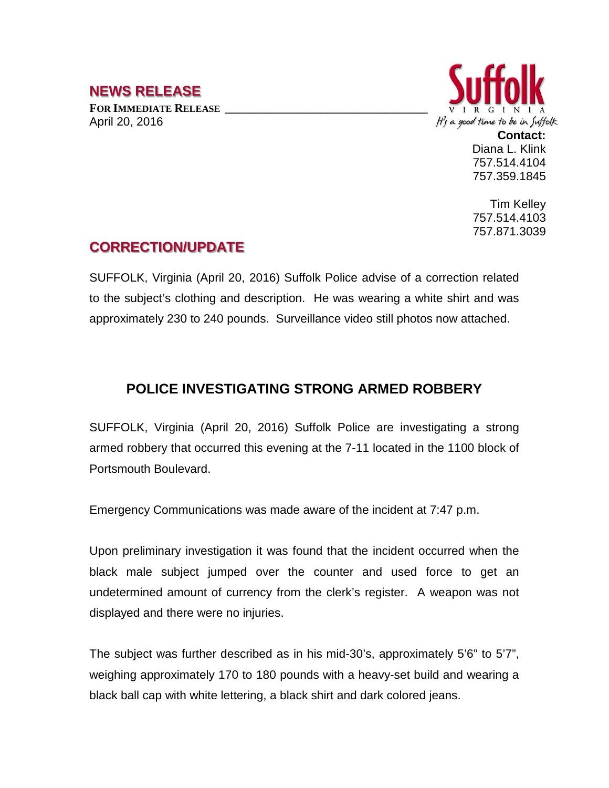## **NEWS RELEASE**

FOR **IMMEDIATE RELEASE** April 20, 2016



**Contact:** Diana L. Klink 757.514.4104 757.359.1845

Tim Kelley 757.514.4103 757.871.3039

## **CORRECTION/UPDATE**

SUFFOLK, Virginia (April 20, 2016) Suffolk Police advise of a correction related to the subject's clothing and description. He was wearing a white shirt and was approximately 230 to 240 pounds. Surveillance video still photos now attached.

## **POLICE INVESTIGATING STRONG ARMED ROBBERY**

SUFFOLK, Virginia (April 20, 2016) Suffolk Police are investigating a strong armed robbery that occurred this evening at the 7-11 located in the 1100 block of Portsmouth Boulevard.

Emergency Communications was made aware of the incident at 7:47 p.m.

Upon preliminary investigation it was found that the incident occurred when the black male subject jumped over the counter and used force to get an undetermined amount of currency from the clerk's register. A weapon was not displayed and there were no injuries.

The subject was further described as in his mid-30's, approximately 5'6" to 5'7", weighing approximately 170 to 180 pounds with a heavy-set build and wearing a black ball cap with white lettering, a black shirt and dark colored jeans.